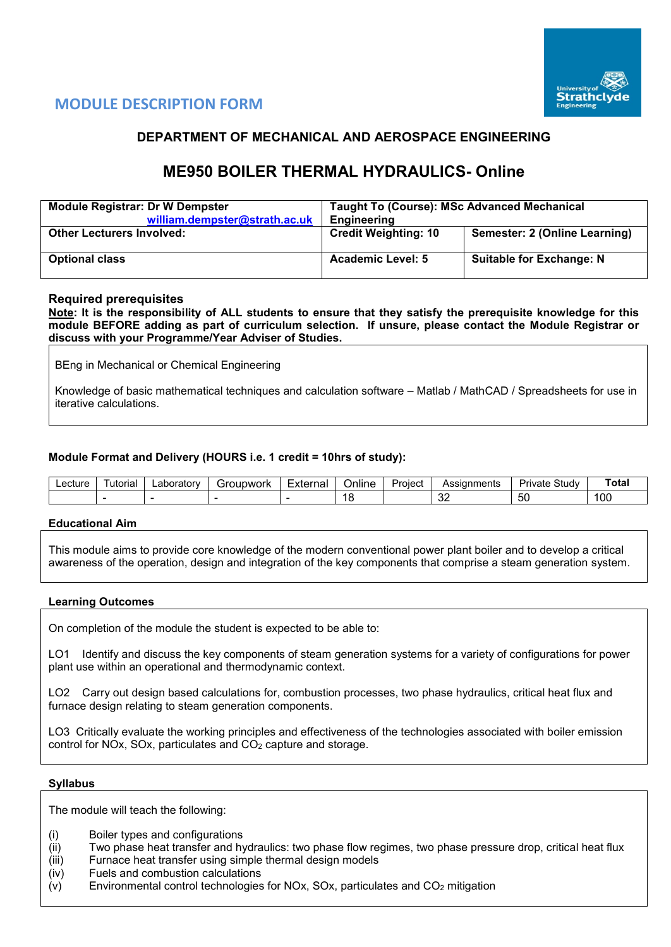



## **DEPARTMENT OF MECHANICAL AND AEROSPACE ENGINEERING**

# **ME950 BOILER THERMAL HYDRAULICS- Online**

| <b>Module Registrar: Dr W Dempster</b><br>william.dempster@strath.ac.uk | <b>Taught To (Course): MSc Advanced Mechanical</b><br>Engineering |                                 |  |  |  |  |
|-------------------------------------------------------------------------|-------------------------------------------------------------------|---------------------------------|--|--|--|--|
| <b>Other Lecturers Involved:</b>                                        | <b>Credit Weighting: 10</b>                                       | Semester: 2 (Online Learning)   |  |  |  |  |
| <b>Optional class</b>                                                   | <b>Academic Level: 5</b>                                          | <b>Suitable for Exchange: N</b> |  |  |  |  |

## **Required prerequisites**

**Note: It is the responsibility of ALL students to ensure that they satisfy the prerequisite knowledge for this module BEFORE adding as part of curriculum selection. If unsure, please contact the Module Registrar or discuss with your Programme/Year Adviser of Studies.** 

BEng in Mechanical or Chemical Engineering

Knowledge of basic mathematical techniques and calculation software – Matlab / MathCAD / Spreadsheets for use in iterative calculations.

## **Module Format and Delivery (HOURS i.e. 1 credit = 10hrs of study):**

| ecture | utorial | ∟aboratorv | Foubwork | Externa' | Online | <b>Project</b><br>$\overline{\mathbf{u}}$ | Assianments | $\sim$<br>study<br>Private | ⊺ota |
|--------|---------|------------|----------|----------|--------|-------------------------------------------|-------------|----------------------------|------|
|        |         |            |          |          | - I C  |                                           | $\sim$<br>ັ | - 1<br>ັບປ                 | 100  |

#### **Educational Aim**

This module aims to provide core knowledge of the modern conventional power plant boiler and to develop a critical awareness of the operation, design and integration of the key components that comprise a steam generation system.

#### **Learning Outcomes**

On completion of the module the student is expected to be able to:

LO1 Identify and discuss the key components of steam generation systems for a variety of configurations for power plant use within an operational and thermodynamic context.

LO2 Carry out design based calculations for, combustion processes, two phase hydraulics, critical heat flux and furnace design relating to steam generation components.

LO3 Critically evaluate the working principles and effectiveness of the technologies associated with boiler emission control for NOx, SOx, particulates and CO2 capture and storage.

#### **Syllabus**

The module will teach the following:

- (i) Boiler types and configurations
- (ii) Two phase heat transfer and hydraulics: two phase flow regimes, two phase pressure drop, critical heat flux
- (iii) Furnace heat transfer using simple thermal design models
- (iv) Fuels and combustion calculations
- (v) Environmental control technologies for NOx, SOx, particulates and  $CO<sub>2</sub>$  mitigation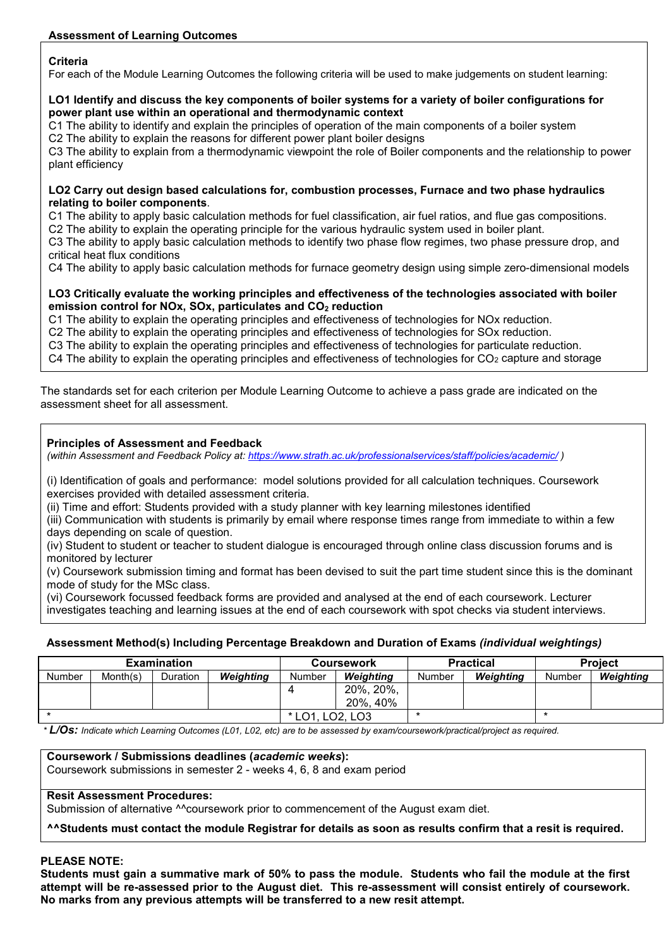## **Criteria**

For each of the Module Learning Outcomes the following criteria will be used to make judgements on student learning:

#### **LO1 Identify and discuss the key components of boiler systems for a variety of boiler configurations for power plant use within an operational and thermodynamic context**

C1 The ability to identify and explain the principles of operation of the main components of a boiler system

C2 The ability to explain the reasons for different power plant boiler designs

C3 The ability to explain from a thermodynamic viewpoint the role of Boiler components and the relationship to power plant efficiency

#### **LO2 Carry out design based calculations for, combustion processes, Furnace and two phase hydraulics relating to boiler components**.

C1 The ability to apply basic calculation methods for fuel classification, air fuel ratios, and flue gas compositions.

C2 The ability to explain the operating principle for the various hydraulic system used in boiler plant.

C3 The ability to apply basic calculation methods to identify two phase flow regimes, two phase pressure drop, and critical heat flux conditions

C4 The ability to apply basic calculation methods for furnace geometry design using simple zero-dimensional models

#### **LO3 Critically evaluate the working principles and effectiveness of the technologies associated with boiler emission control for NOx, SOx, particulates and CO<sub>2</sub> reduction**

C1 The ability to explain the operating principles and effectiveness of technologies for NOx reduction.

C2 The ability to explain the operating principles and effectiveness of technologies for SOx reduction.

C3 The ability to explain the operating principles and effectiveness of technologies for particulate reduction.

C4 The ability to explain the operating principles and effectiveness of technologies for  $CO<sub>2</sub>$  capture and storage

The standards set for each criterion per Module Learning Outcome to achieve a pass grade are indicated on the assessment sheet for all assessment.

## **Principles of Assessment and Feedback**

*(within Assessment and Feedback Policy at: <https://www.strath.ac.uk/professionalservices/staff/policies/academic/> )*

(i) Identification of goals and performance: model solutions provided for all calculation techniques. Coursework exercises provided with detailed assessment criteria.

(ii) Time and effort: Students provided with a study planner with key learning milestones identified

(iii) Communication with students is primarily by email where response times range from immediate to within a few days depending on scale of question.

(iv) Student to student or teacher to student dialogue is encouraged through online class discussion forums and is monitored by lecturer

(v) Coursework submission timing and format has been devised to suit the part time student since this is the dominant mode of study for the MSc class.

(vi) Coursework focussed feedback forms are provided and analysed at the end of each coursework. Lecturer investigates teaching and learning issues at the end of each coursework with spot checks via student interviews.

## **Assessment Method(s) Including Percentage Breakdown and Duration of Exams** *(individual weightings)*

|        |          | <b>Examination</b> |                      |        | <b>Coursework</b> |        | <b>Practical</b> | <b>Project</b> |           |
|--------|----------|--------------------|----------------------|--------|-------------------|--------|------------------|----------------|-----------|
| Number | Month(s) | <b>Duration</b>    | <b>Weighting</b>     | Number | Weiahtina         | Number | Weiahtina        | Number         | Weighting |
|        |          |                    |                      |        | 20%, 20%,         |        |                  |                |           |
|        |          |                    |                      |        | 20%, 40%          |        |                  |                |           |
|        |          |                    | LO2. LO3<br>$*$ LO1. |        |                   |        |                  |                |           |

*\* L/Os: Indicate which Learning Outcomes (L01, L02, etc) are to be assessed by exam/coursework/practical/project as required.*

**Coursework / Submissions deadlines (***academic weeks***):**

Coursework submissions in semester 2 - weeks 4, 6, 8 and exam period

## **Resit Assessment Procedures:**

Submission of alternative ^^coursework prior to commencement of the August exam diet.

**^^Students must contact the module Registrar for details as soon as results confirm that a resit is required.**

### **PLEASE NOTE:**

**Students must gain a summative mark of 50% to pass the module. Students who fail the module at the first attempt will be re-assessed prior to the August diet. This re-assessment will consist entirely of coursework. No marks from any previous attempts will be transferred to a new resit attempt.**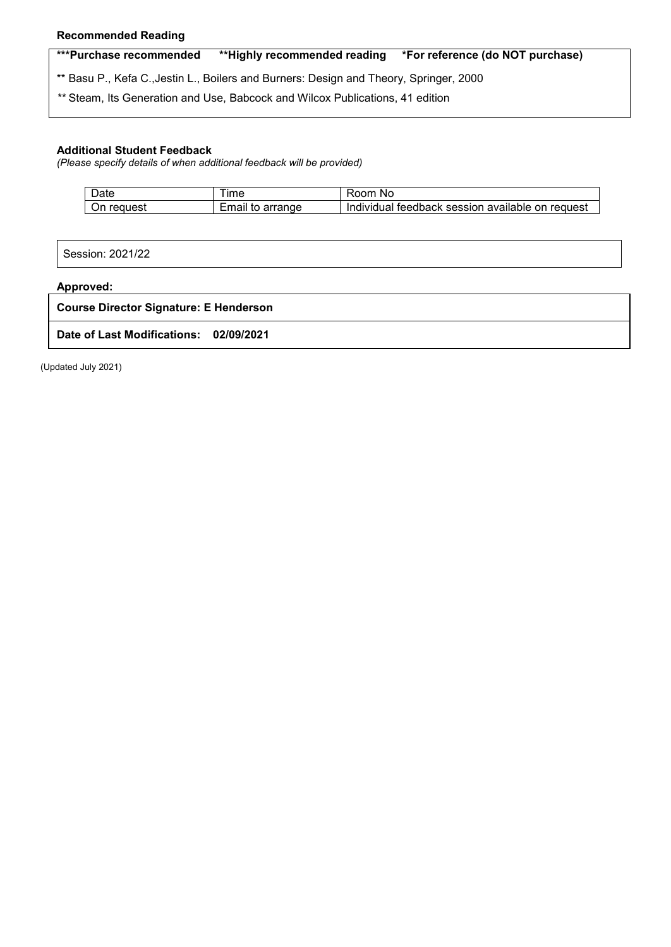### **Recommended Reading**

**\*\*\*Purchase recommended \*\*Highly recommended reading \*For reference (do NOT purchase)**

\*\* Basu P., Kefa C.,Jestin L., Boilers and Burners: Design and Theory, Springer, 2000

*\*\** Steam, Its Generation and Use, Babcock and Wilcox Publications, 41 edition

#### **Additional Student Feedback**

*(Please specify details of when additional feedback will be provided)*

| Date          | <b>Ime</b>             | Room<br>.No                                                       |
|---------------|------------------------|-------------------------------------------------------------------|
| reguest<br>∪n | Email<br>arrange<br>το | l feedback session available :<br>on request<br><b>Individual</b> |

Session: 2021/22

#### **Approved:**

**Course Director Signature: E Henderson**

**Date of Last Modifications: 02/09/2021**

(Updated July 2021)